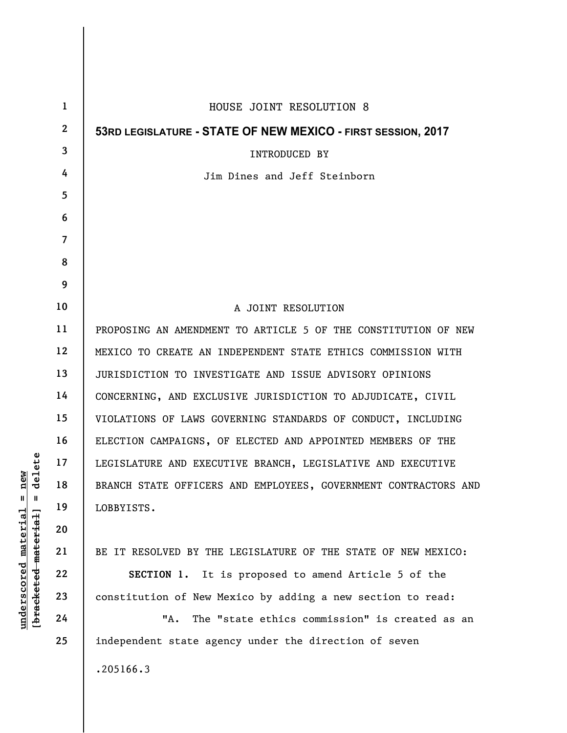| $\mathbf 1$    | HOUSE JOINT RESOLUTION 8                                        |
|----------------|-----------------------------------------------------------------|
| $\mathbf{2}$   | 53RD LEGISLATURE - STATE OF NEW MEXICO - FIRST SESSION, 2017    |
| 3              | <b>INTRODUCED BY</b>                                            |
| 4              | Jim Dines and Jeff Steinborn                                    |
| 5              |                                                                 |
| 6              |                                                                 |
| $\overline{7}$ |                                                                 |
| 8              |                                                                 |
| 9              |                                                                 |
| 10             | A JOINT RESOLUTION                                              |
| 11             | PROPOSING AN AMENDMENT TO ARTICLE 5 OF THE CONSTITUTION OF NEW  |
| 12             | MEXICO TO CREATE AN INDEPENDENT STATE ETHICS COMMISSION WITH    |
| 13             | JURISDICTION TO INVESTIGATE AND ISSUE ADVISORY OPINIONS         |
| 14             | CONCERNING, AND EXCLUSIVE JURISDICTION TO ADJUDICATE, CIVIL     |
| 15             | VIOLATIONS OF LAWS GOVERNING STANDARDS OF CONDUCT, INCLUDING    |
| 16             | ELECTION CAMPAIGNS, OF ELECTED AND APPOINTED MEMBERS OF THE     |
| 17             | LEGISLATURE AND EXECUTIVE BRANCH, LEGISLATIVE AND EXECUTIVE     |
| 18             | BRANCH STATE OFFICERS AND EMPLOYEES, GOVERNMENT CONTRACTORS AND |
| 19             | LOBBYISTS.                                                      |
| 20             |                                                                 |
| 21             | BE IT RESOLVED BY THE LEGISLATURE OF THE STATE OF NEW MEXICO:   |
| 22             | SECTION 1. It is proposed to amend Article 5 of the             |
| 23             | constitution of New Mexico by adding a new section to read:     |
| 24             | The "state ethics commission" is created as an<br>"A.           |
| 25             | independent state agency under the direction of seven           |
|                | .205166.3                                                       |

 $[**bracket eted metert et**] = **del et e**$ **[bracketed material] = delete**  $underscored material = new$ **underscored material = new**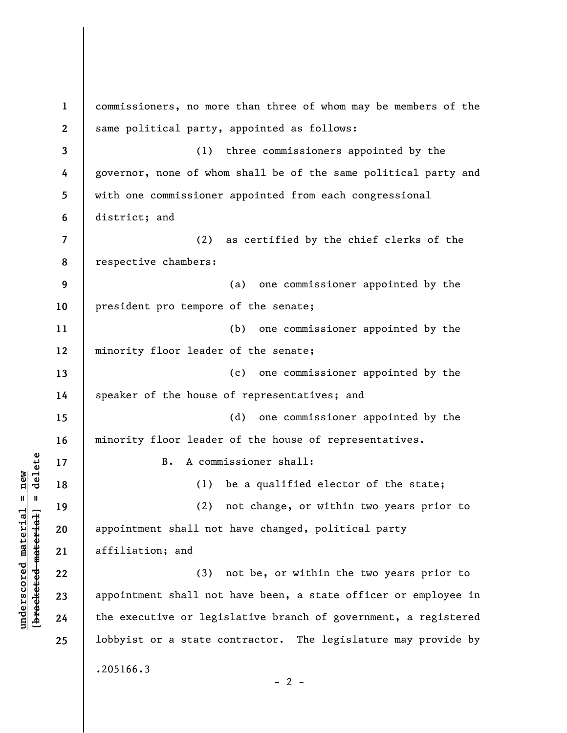**1 2 3 4 5 6 7 8 9 10 11 12 13 14 15 16 17 18 19 20 21 22 23 24 25**  commissioners, no more than three of whom may be members of the same political party, appointed as follows: (1) three commissioners appointed by the governor, none of whom shall be of the same political party and with one commissioner appointed from each congressional district; and (2) as certified by the chief clerks of the respective chambers: (a) one commissioner appointed by the president pro tempore of the senate; (b) one commissioner appointed by the minority floor leader of the senate; (c) one commissioner appointed by the speaker of the house of representatives; and (d) one commissioner appointed by the minority floor leader of the house of representatives. B. A commissioner shall: (1) be a qualified elector of the state; (2) not change, or within two years prior to appointment shall not have changed, political party affiliation; and (3) not be, or within the two years prior to appointment shall not have been, a state officer or employee in the executive or legislative branch of government, a registered lobbyist or a state contractor. The legislature may provide by .205166.3  $- 2 -$ 

 $\frac{1}{2}$  intereted material = delete **[bracketed material] = delete**  $underscored material = new$ **underscored material = new**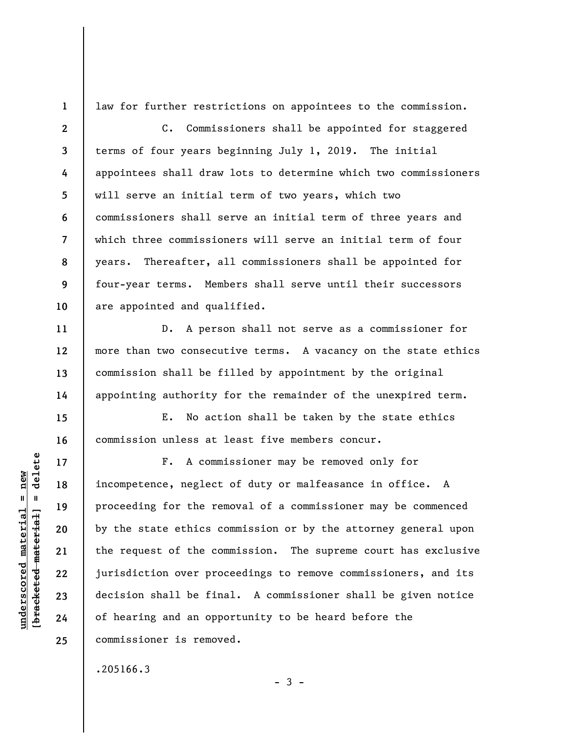**1** 

**11** 

**12** 

**13** 

**14** 

**15** 

**16** 

**17** 

**18** 

**19** 

**20** 

**21** 

**22** 

**23** 

**24** 

**25** 

law for further restrictions on appointees to the commission.

**2 3 4 5 6 7 8 9 10**  C. Commissioners shall be appointed for staggered terms of four years beginning July 1, 2019. The initial appointees shall draw lots to determine which two commissioners will serve an initial term of two years, which two commissioners shall serve an initial term of three years and which three commissioners will serve an initial term of four years. Thereafter, all commissioners shall be appointed for four-year terms. Members shall serve until their successors are appointed and qualified.

D. A person shall not serve as a commissioner for more than two consecutive terms. A vacancy on the state ethics commission shall be filled by appointment by the original appointing authority for the remainder of the unexpired term.

E. No action shall be taken by the state ethics commission unless at least five members concur.

F. A commissioner may be removed only for incompetence, neglect of duty or malfeasance in office. A proceeding for the removal of a commissioner may be commenced by the state ethics commission or by the attorney general upon the request of the commission. The supreme court has exclusive jurisdiction over proceedings to remove commissioners, and its decision shall be final. A commissioner shall be given notice of hearing and an opportunity to be heard before the commissioner is removed.

.205166.3

delete **[bracketed material] = delete**  $underscored material = new$ **underscored material = new**  $\mathbf{u}$ bracketed material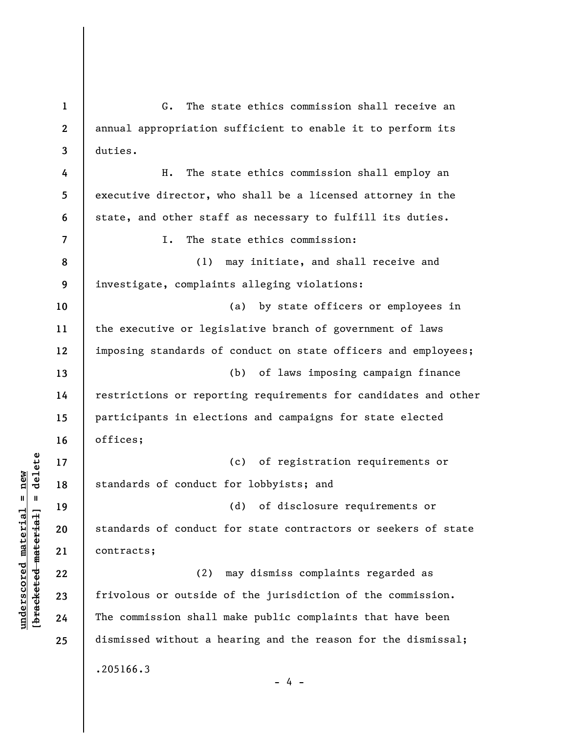**3 4 5 6 7 8 9 10 11 12 13 14 15 16 17 18 19 20 21 22 23 24 25**  duties. H. The state ethics commission shall employ an executive director, who shall be a licensed attorney in the state, and other staff as necessary to fulfill its duties. I. The state ethics commission: (1) may initiate, and shall receive and investigate, complaints alleging violations: (a) by state officers or employees in the executive or legislative branch of government of laws imposing standards of conduct on state officers and employees; (b) of laws imposing campaign finance restrictions or reporting requirements for candidates and other participants in elections and campaigns for state elected offices; (c) of registration requirements or standards of conduct for lobbyists; and (d) of disclosure requirements or standards of conduct for state contractors or seekers of state contracts; (2) may dismiss complaints regarded as frivolous or outside of the jurisdiction of the commission. The commission shall make public complaints that have been dismissed without a hearing and the reason for the dismissal; .205166.3 - 4 -

G. The state ethics commission shall receive an

annual appropriation sufficient to enable it to perform its

 $\frac{1}{2}$  intereted material = delete **[bracketed material] = delete**  $underscored material = new$ **underscored material = new**

**1** 

**2**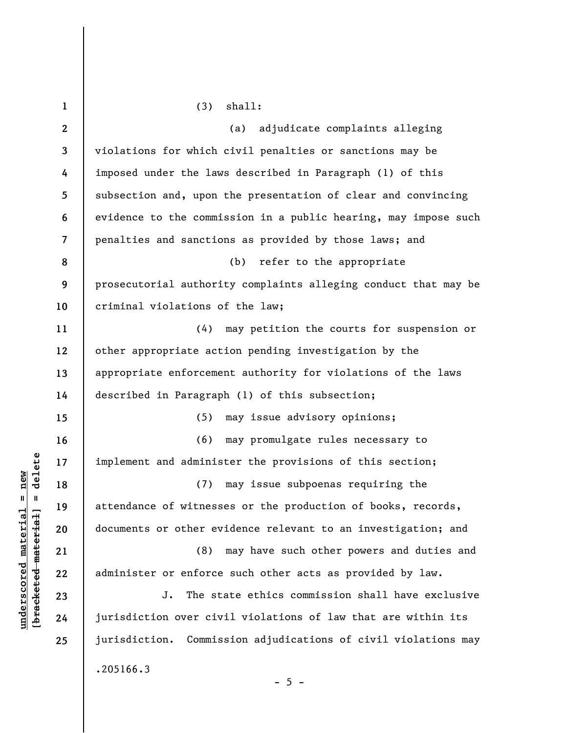| $\mathbf{1}$             | shall:<br>(3)                                                   |
|--------------------------|-----------------------------------------------------------------|
| $\boldsymbol{2}$         | adjudicate complaints alleging<br>(a)                           |
| 3                        | violations for which civil penalties or sanctions may be        |
| 4                        | imposed under the laws described in Paragraph (1) of this       |
| 5                        | subsection and, upon the presentation of clear and convincing   |
| 6                        | evidence to the commission in a public hearing, may impose such |
| $\overline{\mathcal{L}}$ | penalties and sanctions as provided by those laws; and          |
| 8                        | (b) refer to the appropriate                                    |
| 9                        | prosecutorial authority complaints alleging conduct that may be |
| 10                       | criminal violations of the law;                                 |
| 11                       | (4) may petition the courts for suspension or                   |
| 12                       | other appropriate action pending investigation by the           |
| 13                       | appropriate enforcement authority for violations of the laws    |
| 14                       | described in Paragraph (1) of this subsection;                  |
| 15                       | may issue advisory opinions;<br>(5)                             |
| 16                       | (6) may promulgate rules necessary to                           |
| 17                       | implement and administer the provisions of this section;        |
| 18                       | may issue subpoenas requiring the<br>(7)                        |
| 19                       | attendance of witnesses or the production of books, records,    |
| 20                       | documents or other evidence relevant to an investigation; and   |
| 21                       | (8)<br>may have such other powers and duties and                |
| 22                       | administer or enforce such other acts as provided by law.       |
| 23                       | J.<br>The state ethics commission shall have exclusive          |
| 24                       | jurisdiction over civil violations of law that are within its   |
| 25                       | jurisdiction. Commission adjudications of civil violations may  |
|                          | .205166.3<br>$-5 -$                                             |

 $[**bracket eted metert et**] = **del et e**$ **[bracketed material] = delete**  $underscored material = new$ **underscored material = new**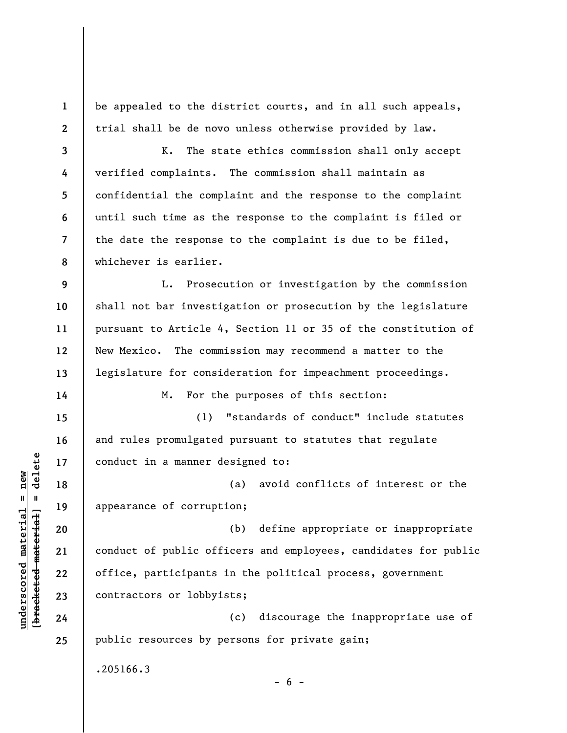be appealed to the district courts, and in all such appeals, trial shall be de novo unless otherwise provided by law.

**3 4 5 6 7 8**  K. The state ethics commission shall only accept verified complaints. The commission shall maintain as confidential the complaint and the response to the complaint until such time as the response to the complaint is filed or the date the response to the complaint is due to be filed, whichever is earlier.

**9 10 11 12 13**  L. Prosecution or investigation by the commission shall not bar investigation or prosecution by the legislature pursuant to Article 4, Section 11 or 35 of the constitution of New Mexico. The commission may recommend a matter to the legislature for consideration for impeachment proceedings.

M. For the purposes of this section:

(1) "standards of conduct" include statutes and rules promulgated pursuant to statutes that regulate conduct in a manner designed to:

(a) avoid conflicts of interest or the appearance of corruption;

(b) define appropriate or inappropriate conduct of public officers and employees, candidates for public office, participants in the political process, government contractors or lobbyists;

(c) discourage the inappropriate use of public resources by persons for private gain;

 $- 6 -$ 

.205166.3

 $\frac{1}{2}$  intereted material = delete **[bracketed material] = delete**  $underscored material = new$ **underscored material = new**

**1** 

**2** 

**14** 

**15** 

**16** 

**17** 

**18** 

**19** 

**20** 

**21** 

**22** 

**23** 

**24** 

**25**